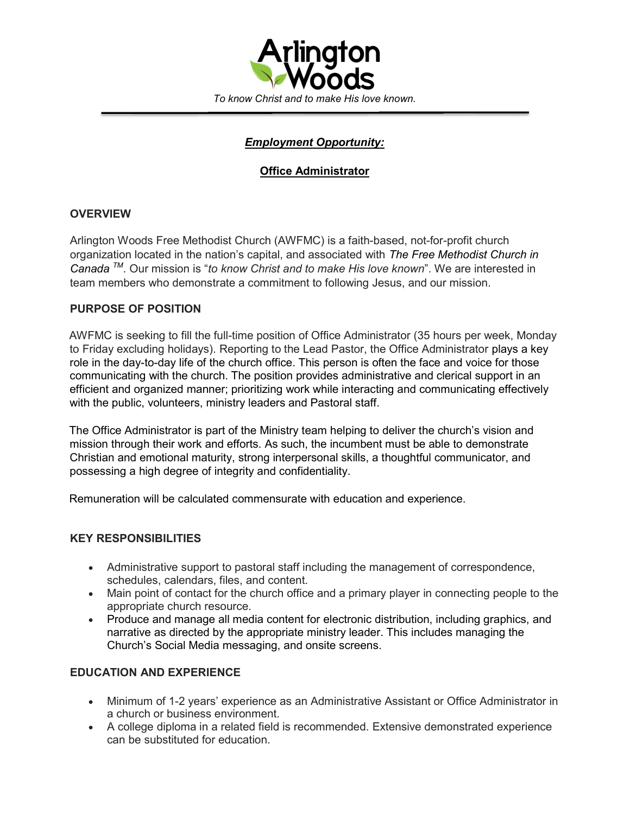

# Employment Opportunity:

## Office Administrator

## **OVERVIEW**

Arlington Woods Free Methodist Church (AWFMC) is a faith-based, not-for-profit church organization located in the nation's capital, and associated with The Free Methodist Church in Canada  $^{7M}$ . Our mission is "to know Christ and to make His love known". We are interested in team members who demonstrate a commitment to following Jesus, and our mission.

### PURPOSE OF POSITION

AWFMC is seeking to fill the full-time position of Office Administrator (35 hours per week, Monday to Friday excluding holidays). Reporting to the Lead Pastor, the Office Administrator plays a key role in the day-to-day life of the church office. This person is often the face and voice for those communicating with the church. The position provides administrative and clerical support in an efficient and organized manner; prioritizing work while interacting and communicating effectively with the public, volunteers, ministry leaders and Pastoral staff.

The Office Administrator is part of the Ministry team helping to deliver the church's vision and mission through their work and efforts. As such, the incumbent must be able to demonstrate Christian and emotional maturity, strong interpersonal skills, a thoughtful communicator, and possessing a high degree of integrity and confidentiality.

Remuneration will be calculated commensurate with education and experience.

### KEY RESPONSIBILITIES

- Administrative support to pastoral staff including the management of correspondence, schedules, calendars, files, and content.
- Main point of contact for the church office and a primary player in connecting people to the appropriate church resource.
- Produce and manage all media content for electronic distribution, including graphics, and narrative as directed by the appropriate ministry leader. This includes managing the Church's Social Media messaging, and onsite screens.

### EDUCATION AND EXPERIENCE

- Minimum of 1-2 years' experience as an Administrative Assistant or Office Administrator in a church or business environment.
- A college diploma in a related field is recommended. Extensive demonstrated experience can be substituted for education.